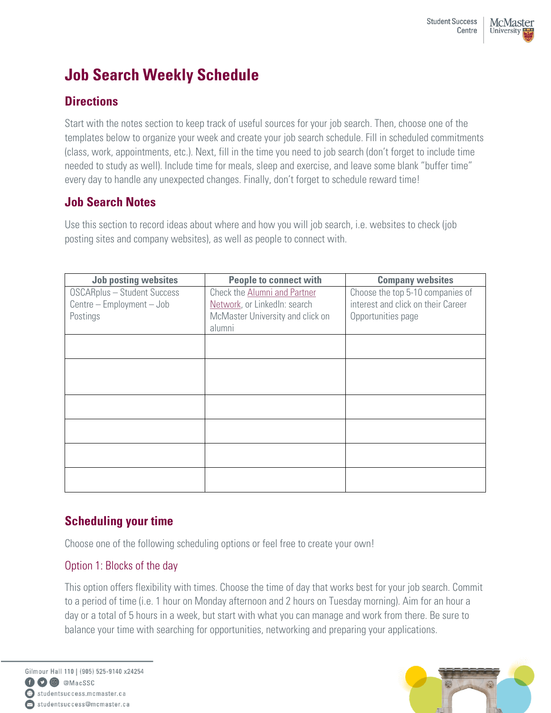# **Job Search Weekly Schedule**

## **Directions**

Start with the notes section to keep track of useful sources for your job search. Then, choose one of the templates below to organize your week and create your job search schedule. Fill in scheduled commitments (class, work, appointments, etc.). Next, fill in the time you need to job search (don't forget to include time needed to study as well). Include time for meals, sleep and exercise, and leave some blank "buffer time" every day to handle any unexpected changes. Finally, don't forget to schedule reward time!

### **Job Search Notes**

Use this section to record ideas about where and how you will job search, i.e. websites to check (job posting sites and company websites), as well as people to connect with.

| <b>Job posting websites</b>        | <b>People to connect with</b>    | <b>Company websites</b>            |
|------------------------------------|----------------------------------|------------------------------------|
| <b>OSCARplus - Student Success</b> | Check the Alumni and Partner     | Choose the top 5-10 companies of   |
| Centre - Employment - Job          | Network, or LinkedIn: search     | interest and click on their Career |
| Postings                           | McMaster University and click on | Opportunities page                 |
|                                    | alumni                           |                                    |
|                                    |                                  |                                    |
|                                    |                                  |                                    |
|                                    |                                  |                                    |
|                                    |                                  |                                    |
|                                    |                                  |                                    |
|                                    |                                  |                                    |
|                                    |                                  |                                    |
|                                    |                                  |                                    |
|                                    |                                  |                                    |
|                                    |                                  |                                    |
|                                    |                                  |                                    |
|                                    |                                  |                                    |
|                                    |                                  |                                    |

## **Scheduling your time**

Choose one of the following scheduling options or feel free to create your own!

#### Option 1: Blocks of the day

This option offers flexibility with times. Choose the time of day that works best for your job search. Commit to a period of time (i.e. 1 hour on Monday afternoon and 2 hours on Tuesday morning). Aim for an hour a day or a total of 5 hours in a week, but start with what you can manage and work from there. Be sure to balance your time with searching for opportunities, networking and preparing your applications.